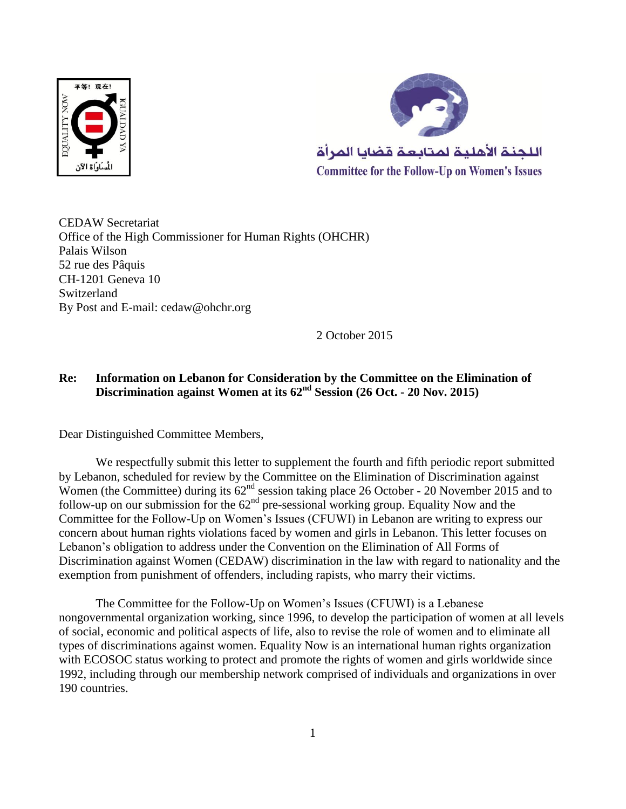



CEDAW Secretariat Office of the High Commissioner for Human Rights (OHCHR) Palais Wilson 52 rue des Pâquis CH-1201 Geneva 10 Switzerland By Post and E-mail: cedaw@ohchr.org

2 October 2015

# **Re: Information on Lebanon for Consideration by the Committee on the Elimination of Discrimination against Women at its 62nd Session (26 Oct. - 20 Nov. 2015)**

Dear Distinguished Committee Members,

We respectfully submit this letter to supplement the fourth and fifth periodic report submitted by Lebanon, scheduled for review by the Committee on the Elimination of Discrimination against Women (the Committee) during its  $62<sup>nd</sup>$  session taking place 26 October - 20 November 2015 and to follow-up on our submission for the  $62<sup>nd</sup>$  pre-sessional working group. Equality Now and the Committee for the Follow-Up on Women's Issues (CFUWI) in Lebanon are writing to express our concern about human rights violations faced by women and girls in Lebanon. This letter focuses on Lebanon's obligation to address under the Convention on the Elimination of All Forms of Discrimination against Women (CEDAW) discrimination in the law with regard to nationality and the exemption from punishment of offenders, including rapists, who marry their victims.

The Committee for the Follow-Up on Women's Issues (CFUWI) is a Lebanese nongovernmental organization working, since 1996, to develop the participation of women at all levels of social, economic and political aspects of life, also to revise the role of women and to eliminate all types of discriminations against women. Equality Now is an international human rights organization with ECOSOC status working to protect and promote the rights of women and girls worldwide since 1992, including through our membership network comprised of individuals and organizations in over 190 countries.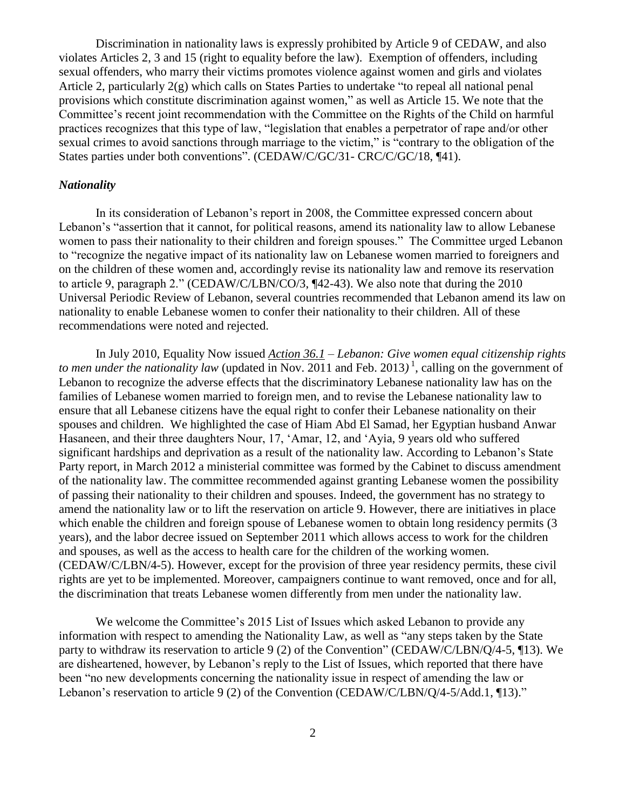Discrimination in nationality laws is expressly prohibited by Article 9 of CEDAW, and also violates Articles 2, 3 and 15 (right to equality before the law). Exemption of offenders, including sexual offenders, who marry their victims promotes violence against women and girls and violates Article 2, particularly 2(g) which calls on States Parties to undertake "to repeal all national penal provisions which constitute discrimination against women," as well as Article 15. We note that the Committee's recent joint recommendation with the Committee on the Rights of the Child on harmful practices recognizes that this type of law, "legislation that enables a perpetrator of rape and/or other sexual crimes to avoid sanctions through marriage to the victim," is "contrary to the obligation of the States parties under both conventions". (CEDAW/C/GC/31- CRC/C/GC/18, ¶41).

## *Nationality*

In its consideration of Lebanon's report in 2008, the Committee expressed concern about Lebanon's "assertion that it cannot, for political reasons, amend its nationality law to allow Lebanese women to pass their nationality to their children and foreign spouses." The Committee urged Lebanon to "recognize the negative impact of its nationality law on Lebanese women married to foreigners and on the children of these women and, accordingly revise its nationality law and remove its reservation to article 9, paragraph 2." (CEDAW/C/LBN/CO/3, ¶42-43). We also note that during the 2010 Universal Periodic Review of Lebanon, several countries recommended that Lebanon amend its law on nationality to enable Lebanese women to confer their nationality to their children. All of these recommendations were noted and rejected.

In July 2010, Equality Now issued *[Action 36.1](http://equalitynow.org/take_action/discrimination_in_law_action361) – Lebanon: Give women equal citizenship rights*  to men under the nationality law (updated in Nov. 2011 and Feb. 2013)<sup>1</sup>, calling on the government of Lebanon to recognize the adverse effects that the discriminatory Lebanese nationality law has on the families of Lebanese women married to foreign men, and to revise the Lebanese nationality law to ensure that all Lebanese citizens have the equal right to confer their Lebanese nationality on their spouses and children. We highlighted the case of Hiam Abd El Samad, her Egyptian husband Anwar Hasaneen, and their three daughters Nour, 17, 'Amar, 12, and 'Ayia, 9 years old who suffered significant hardships and deprivation as a result of the nationality law. According to Lebanon's State Party report, in March 2012 a ministerial committee was formed by the Cabinet to discuss amendment of the nationality law. The committee recommended against granting Lebanese women the possibility of passing their nationality to their children and spouses. Indeed, the government has no strategy to amend the nationality law or to lift the reservation on article 9. However, there are initiatives in place which enable the children and foreign spouse of Lebanese women to obtain long residency permits (3) years), and the labor decree issued on September 2011 which allows access to work for the children and spouses, as well as the access to health care for the children of the working women. (CEDAW/C/LBN/4-5). However, except for the provision of three year residency permits, these civil rights are yet to be implemented. Moreover, campaigners continue to want removed, once and for all, the discrimination that treats Lebanese women differently from men under the nationality law.

We welcome the Committee's 2015 List of Issues which asked Lebanon to provide any information with respect to amending the Nationality Law, as well as "any steps taken by the State party to withdraw its reservation to article 9 (2) of the Convention" (CEDAW/C/LBN/Q/4-5, ¶13). We are disheartened, however, by Lebanon's reply to the List of Issues, which reported that there have been "no new developments concerning the nationality issue in respect of amending the law or Lebanon's reservation to article 9 (2) of the Convention (CEDAW/C/LBN/Q/4-5/Add.1, ¶13)."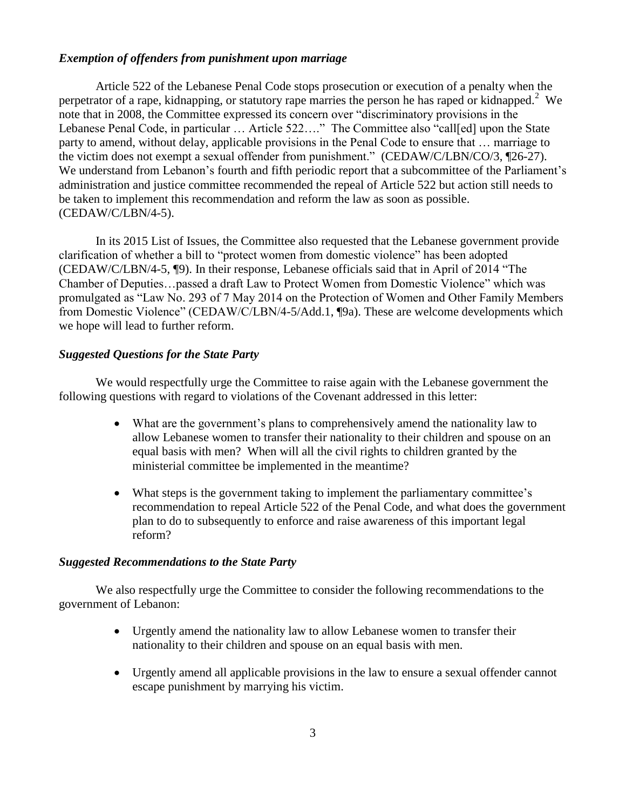### *Exemption of offenders from punishment upon marriage*

Article 522 of the Lebanese Penal Code stops prosecution or execution of a penalty when the perpetrator of a rape, kidnapping, or statutory rape marries the person he has raped or kidnapped.<sup>2</sup> We note that in 2008, the Committee expressed its concern over "discriminatory provisions in the Lebanese Penal Code, in particular … Article 522…." The Committee also "call[ed] upon the State party to amend, without delay, applicable provisions in the Penal Code to ensure that … marriage to the victim does not exempt a sexual offender from punishment." (CEDAW/C/LBN/CO/3, ¶26-27). We understand from Lebanon's fourth and fifth periodic report that a subcommittee of the Parliament's administration and justice committee recommended the repeal of Article 522 but action still needs to be taken to implement this recommendation and reform the law as soon as possible. (CEDAW/C/LBN/4-5).

In its 2015 List of Issues, the Committee also requested that the Lebanese government provide clarification of whether a bill to "protect women from domestic violence" has been adopted (CEDAW/C/LBN/4-5, ¶9). In their response, Lebanese officials said that in April of 2014 "The Chamber of Deputies…passed a draft Law to Protect Women from Domestic Violence" which was promulgated as "Law No. 293 of 7 May 2014 on the Protection of Women and Other Family Members from Domestic Violence" (CEDAW/C/LBN/4-5/Add.1, ¶9a). These are welcome developments which we hope will lead to further reform.

### *Suggested Questions for the State Party*

We would respectfully urge the Committee to raise again with the Lebanese government the following questions with regard to violations of the Covenant addressed in this letter:

- What are the government's plans to comprehensively amend the nationality law to allow Lebanese women to transfer their nationality to their children and spouse on an equal basis with men? When will all the civil rights to children granted by the ministerial committee be implemented in the meantime?
- What steps is the government taking to implement the parliamentary committee's recommendation to repeal Article 522 of the Penal Code, and what does the government plan to do to subsequently to enforce and raise awareness of this important legal reform?

### *Suggested Recommendations to the State Party*

We also respectfully urge the Committee to consider the following recommendations to the government of Lebanon:

- Urgently amend the nationality law to allow Lebanese women to transfer their nationality to their children and spouse on an equal basis with men.
- Urgently amend all applicable provisions in the law to ensure a sexual offender cannot escape punishment by marrying his victim.